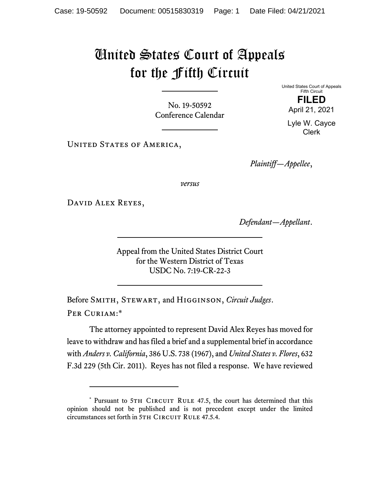## United States Court of Appeals for the Fifth Circuit

No. 19-50592 Conference Calendar United States Court of Appeals Fifth Circuit **FILED** 

April 21, 2021

Lyle W. Cayce Clerk

UNITED STATES OF AMERICA,

*Plaintiff—Appellee*,

*versus*

David Alex Reyes,

*Defendant—Appellant*.

Appeal from the United States District Court for the Western District of Texas USDC No. 7:19-CR-22-3

Before Smith, Stewart, and Higginson, *Circuit Judges*. Per Curiam:\*

The attorney appointed to represent David Alex Reyes has moved for leave to withdraw and has filed a brief and a supplemental brief in accordance with *Anders v. California*, 386 U.S. 738 (1967), and *United States v. Flores*, 632 F.3d 229 (5th Cir. 2011). Reyes has not filed a response. We have reviewed

<sup>\*</sup> Pursuant to 5TH CIRCUIT RULE 47.5, the court has determined that this opinion should not be published and is not precedent except under the limited circumstances set forth in 5TH CIRCUIT RULE 47.5.4.